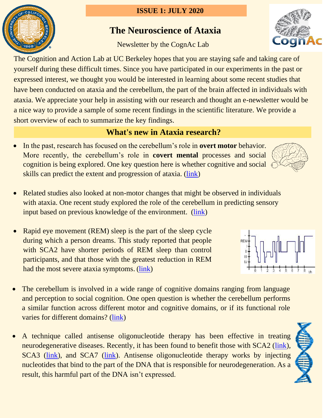### **ISSUE 1: JULY 2020**

# **The Neuroscience of Ataxia**

Newsletter by the CognAc Lab

The Cognition and Action Lab at UC Berkeley hopes that you are staying safe and taking care of yourself during these difficult times. Since you have participated in our experiments in the past or expressed interest, we thought you would be interested in learning about some recent studies that have been conducted on ataxia and the cerebellum, the part of the brain affected in individuals with ataxia. We appreciate your help in assisting with our research and thought an e-newsletter would be a nice way to provide a sample of some recent findings in the scientific literature. We provide a short overview of each to summarize the key findings.

## **What's new in Ataxia research?**

- In the past, research has focused on the cerebellum's role in **overt motor** behavior. More recently, the cerebellum's role in **covert mental** processes and social cognition is being explored. One key question here is whether cognitive and social skills can predict the extent and progression of ataxia. [\(link\)](https://www.tandfonline.com/doi/full/10.1080/00207454.2017.1377198?casa_token=2ckOookRIfEAAAAA%3Art359IjQ6u0u3molYyCwMh7jM7PyajDONzItgwszhbRe45ZC3iWewefFTKGfVL-lZH7gNRDpWMM)
- Related studies also looked at non-motor changes that might be observed in individuals with ataxia. One recent study explored the role of the cerebellum in predicting sensory input based on previous knowledge of the environment. [\(link\)](http://ivrylab.berkeley.edu/uploads/4/1/1/5/41152143/sokolov_et_al_2017.pdf)
- Rapid eye movement (REM) sleep is the part of the sleep cycle during which a person dreams. This study reported that people with SCA2 have shorter periods of REM sleep than control participants, and that those with the greatest reduction in REM had the most severe ataxia symptoms. [\(link\)](https://link.springer.com/article/10.1007/s12311-018-0982-x)
- The cerebellum is involved in a wide range of cognitive domains ranging from language and perception to social cognition. One open question is whether the cerebellum performs a similar function across different motor and cognitive domains, or if its functional role varies for different domains? [\(link\)](http://ivrylab.berkeley.edu/uploads/4/1/1/5/41152143/1-s2.0-s0896627319303782-main.pdf)
- A technique called antisense oligonucleotide therapy has been effective in treating neurodegenerative diseases. Recently, it has been found to benefit those with SCA2 [\(link\)](https://www.nature.com/articles/nature22044/), SCA3 [\(link\)](https://www.sciencedirect.com/science/article/pii/S2162253117302056), and SCA7 [\(link\)](https://stm.sciencemag.org/content/10/465/eaap8677.short). Antisense oligonucleotide therapy works by injecting nucleotides that bind to the part of the DNA that is responsible for neurodegeneration. As a result, this harmful part of the DNA isn't expressed.